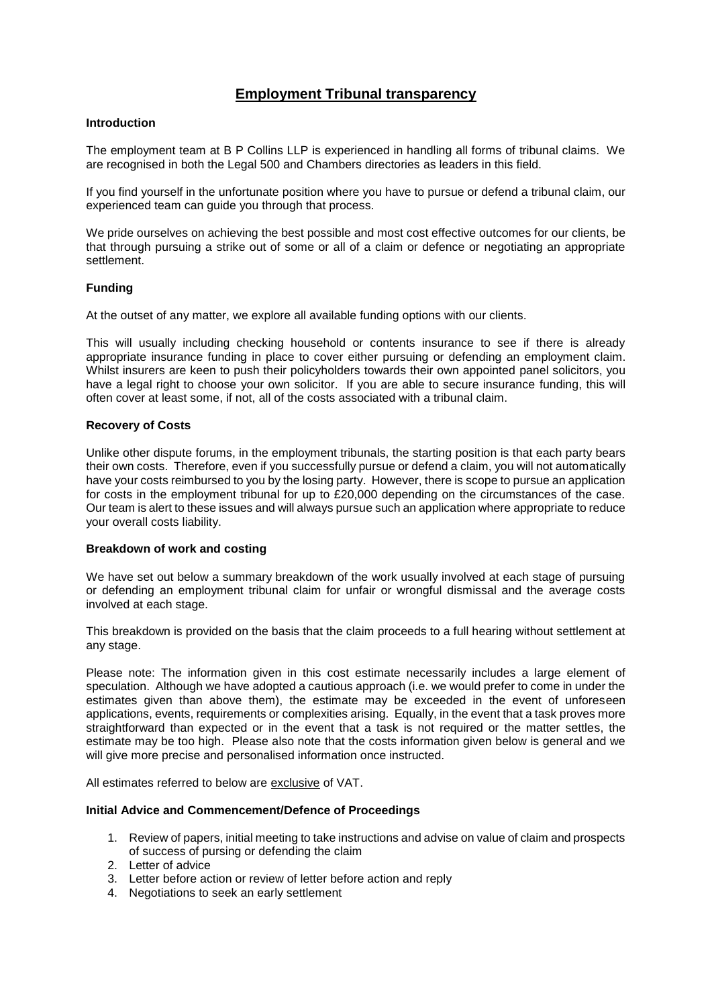# **Employment Tribunal transparency**

# **Introduction**

The employment team at B P Collins LLP is experienced in handling all forms of tribunal claims. We are recognised in both the Legal 500 and Chambers directories as leaders in this field.

If you find yourself in the unfortunate position where you have to pursue or defend a tribunal claim, our experienced team can guide you through that process.

We pride ourselves on achieving the best possible and most cost effective outcomes for our clients, be that through pursuing a strike out of some or all of a claim or defence or negotiating an appropriate settlement.

# **Funding**

At the outset of any matter, we explore all available funding options with our clients.

This will usually including checking household or contents insurance to see if there is already appropriate insurance funding in place to cover either pursuing or defending an employment claim. Whilst insurers are keen to push their policyholders towards their own appointed panel solicitors, you have a legal right to choose your own solicitor. If you are able to secure insurance funding, this will often cover at least some, if not, all of the costs associated with a tribunal claim.

# **Recovery of Costs**

Unlike other dispute forums, in the employment tribunals, the starting position is that each party bears their own costs. Therefore, even if you successfully pursue or defend a claim, you will not automatically have your costs reimbursed to you by the losing party. However, there is scope to pursue an application for costs in the employment tribunal for up to £20,000 depending on the circumstances of the case. Our team is alert to these issues and will always pursue such an application where appropriate to reduce your overall costs liability.

# **Breakdown of work and costing**

We have set out below a summary breakdown of the work usually involved at each stage of pursuing or defending an employment tribunal claim for unfair or wrongful dismissal and the average costs involved at each stage.

This breakdown is provided on the basis that the claim proceeds to a full hearing without settlement at any stage.

Please note: The information given in this cost estimate necessarily includes a large element of speculation. Although we have adopted a cautious approach (i.e. we would prefer to come in under the estimates given than above them), the estimate may be exceeded in the event of unforeseen applications, events, requirements or complexities arising. Equally, in the event that a task proves more straightforward than expected or in the event that a task is not required or the matter settles, the estimate may be too high. Please also note that the costs information given below is general and we will give more precise and personalised information once instructed.

All estimates referred to below are exclusive of VAT.

# **Initial Advice and Commencement/Defence of Proceedings**

- 1. Review of papers, initial meeting to take instructions and advise on value of claim and prospects of success of pursing or defending the claim
- 2. Letter of advice
- 3. Letter before action or review of letter before action and reply
- 4. Negotiations to seek an early settlement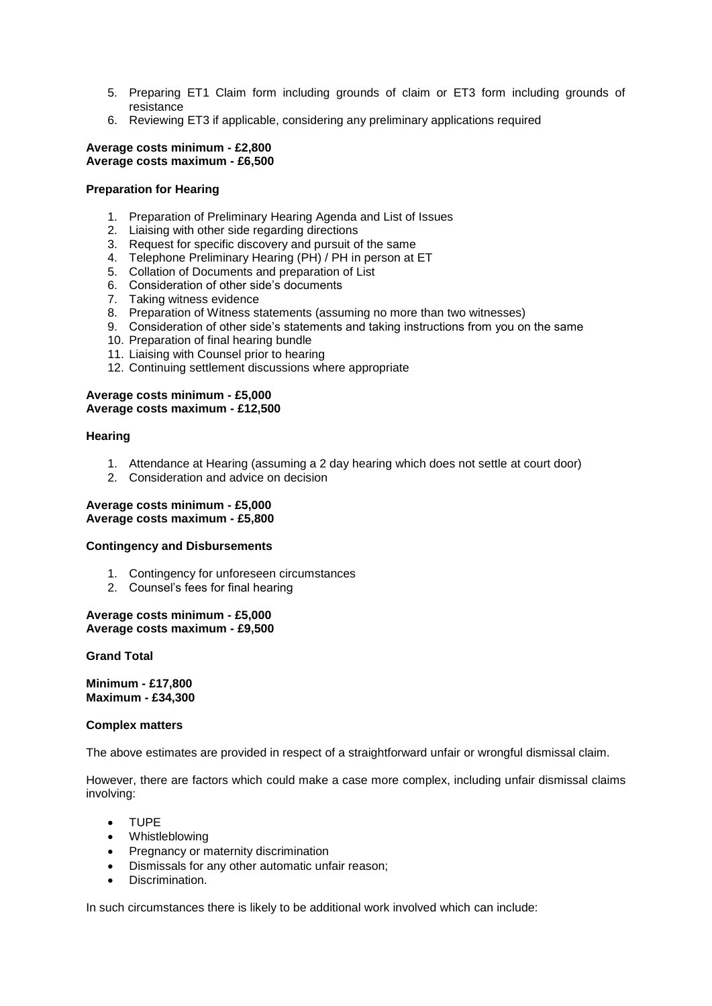- 5. Preparing ET1 Claim form including grounds of claim or ET3 form including grounds of resistance
- 6. Reviewing ET3 if applicable, considering any preliminary applications required

#### **Average costs minimum - £2,800 Average costs maximum - £6,500**

# **Preparation for Hearing**

- 1. Preparation of Preliminary Hearing Agenda and List of Issues
- 2. Liaising with other side regarding directions
- 3. Request for specific discovery and pursuit of the same
- 4. Telephone Preliminary Hearing (PH) / PH in person at ET
- 5. Collation of Documents and preparation of List
- 6. Consideration of other side's documents
- 7. Taking witness evidence
- 8. Preparation of Witness statements (assuming no more than two witnesses)
- 9. Consideration of other side's statements and taking instructions from you on the same
- 10. Preparation of final hearing bundle
- 11. Liaising with Counsel prior to hearing
- 12. Continuing settlement discussions where appropriate

# **Average costs minimum - £5,000 Average costs maximum - £12,500**

# **Hearing**

- 1. Attendance at Hearing (assuming a 2 day hearing which does not settle at court door)
- 2. Consideration and advice on decision

## **Average costs minimum - £5,000 Average costs maximum - £5,800**

# **Contingency and Disbursements**

- 1. Contingency for unforeseen circumstances
- 2. Counsel's fees for final hearing

# **Average costs minimum - £5,000 Average costs maximum - £9,500**

# **Grand Total**

**Minimum - £17,800 Maximum - £34,300**

# **Complex matters**

The above estimates are provided in respect of a straightforward unfair or wrongful dismissal claim.

However, there are factors which could make a case more complex, including unfair dismissal claims involving:

- TUPE
- Whistleblowing
- Pregnancy or maternity discrimination
- Dismissals for any other automatic unfair reason;
- Discrimination.

In such circumstances there is likely to be additional work involved which can include: